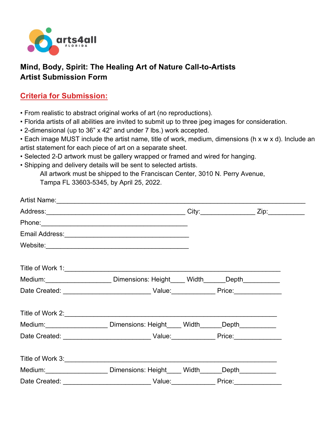

## **Mind, Body, Spirit: The Healing Art of Nature Call-to-Artists Artist Submission Form**

## **Criteria for Submission:**

- From realistic to abstract original works of art (no reproductions).
- Florida artists of all abilities are invited to submit up to three jpeg images for consideration.
- 2-dimensional (up to 36" x 42" and under 7 lbs.) work accepted.
- Each image MUST include the artist name, title of work, medium, dimensions (h x w x d). Include an artist statement for each piece of art on a separate sheet.
- Selected 2-D artwork must be gallery wrapped or framed and wired for hanging.
- Shipping and delivery details will be sent to selected artists.

All artwork must be shipped to the Franciscan Center, 3010 N. Perry Avenue, Tampa FL 33603-5345, by April 25, 2022.

|               | Email Address: 2008 - 2009 - 2010 - 2010 - 2010 - 2010 - 2010 - 2010 - 2010 - 2010 - 2010 - 2010 - 2010 - 201 |        |  |
|---------------|---------------------------------------------------------------------------------------------------------------|--------|--|
|               |                                                                                                               |        |  |
|               | Title of Work 1:                                                                                              |        |  |
|               | Medium: Dimensions: Height Width Depth                                                                        |        |  |
|               |                                                                                                               |        |  |
|               | Title of Work 2:                                                                                              |        |  |
|               | Medium: Dimensions: Height ____Width _____Depth_________________________________                              |        |  |
|               |                                                                                                               |        |  |
|               |                                                                                                               |        |  |
|               | Medium: Dimensions: Height ____ Width _____ Depth _________                                                   |        |  |
| Date Created: | <u>_________</u> ___Value:______________                                                                      | Price: |  |